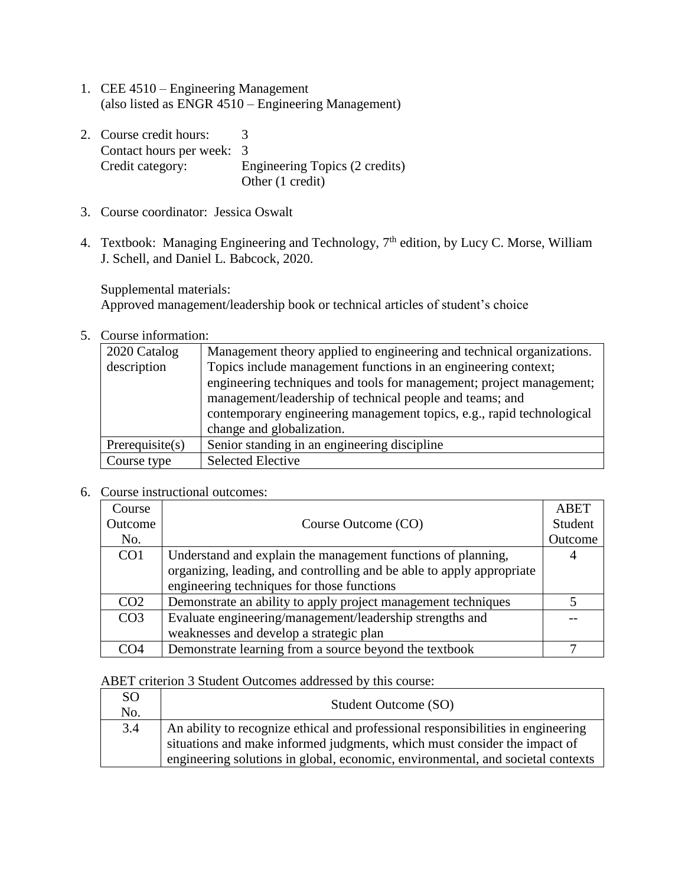- 1. CEE 4510 Engineering Management (also listed as ENGR 4510 – Engineering Management)
- 2. Course credit hours: 3 Contact hours per week: 3 Credit category: Engineering Topics (2 credits) Other (1 credit)
- 3. Course coordinator: Jessica Oswalt
- 4. Textbook: Managing Engineering and Technology, 7<sup>th</sup> edition, by Lucy C. Morse, William J. Schell, and Daniel L. Babcock, 2020.

Supplemental materials:

Approved management/leadership book or technical articles of student's choice

5. Course information:

| 2020 Catalog<br>description | Management theory applied to engineering and technical organizations.<br>Topics include management functions in an engineering context;<br>engineering techniques and tools for management; project management;<br>management/leadership of technical people and teams; and<br>contemporary engineering management topics, e.g., rapid technological<br>change and globalization. |
|-----------------------------|-----------------------------------------------------------------------------------------------------------------------------------------------------------------------------------------------------------------------------------------------------------------------------------------------------------------------------------------------------------------------------------|
| Prerequires(s)              | Senior standing in an engineering discipline                                                                                                                                                                                                                                                                                                                                      |
| Course type                 | <b>Selected Elective</b>                                                                                                                                                                                                                                                                                                                                                          |

6. Course instructional outcomes:

| Course          |                                                                       | <b>ABET</b> |
|-----------------|-----------------------------------------------------------------------|-------------|
| Outcome         | Course Outcome (CO)                                                   | Student     |
| No.             |                                                                       | Outcome     |
| CO <sub>1</sub> | Understand and explain the management functions of planning,          |             |
|                 | organizing, leading, and controlling and be able to apply appropriate |             |
|                 | engineering techniques for those functions                            |             |
| CO <sub>2</sub> | Demonstrate an ability to apply project management techniques         |             |
| CO <sub>3</sub> | Evaluate engineering/management/leadership strengths and              |             |
|                 | weaknesses and develop a strategic plan                               |             |
| CO4             | Demonstrate learning from a source beyond the textbook                |             |

ABET criterion 3 Student Outcomes addressed by this course:

| SO.<br>No. | Student Outcome (SO)                                                             |
|------------|----------------------------------------------------------------------------------|
| 3.4        | An ability to recognize ethical and professional responsibilities in engineering |
|            | situations and make informed judgments, which must consider the impact of        |
|            | engineering solutions in global, economic, environmental, and societal contexts  |